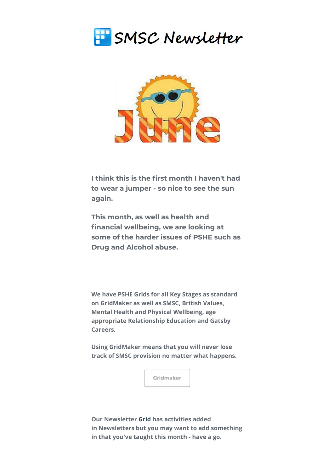



**I think this is the first month I haven't had to wear a jumper - so nice to see the sun again.**

**This month, as well as health and financial wellbeing, we are looking at some of the harder issues of PSHE such as Drug and Alcohol abuse.**

**We have PSHE Grids for all Key Stages as standard on GridMaker as well as SMSC, British Values, Mental Health and Physical Wellbeing, age appropriate Relationship Education and Gatsby Careers.** 

**Using GridMaker means that you will never lose track of SMSC provision no matter what happens.** 



**Our Newsletter [Grid](https://smscgridmaker.createsend1.com/t/j-l-ftthjtl-l-y/) [h](https://smscgridmaker.createsend1.com/t/j-l-ftthjtl-l-j/)as activities added in Newsletters but you may want to add something in that you've taught this month - have a go.**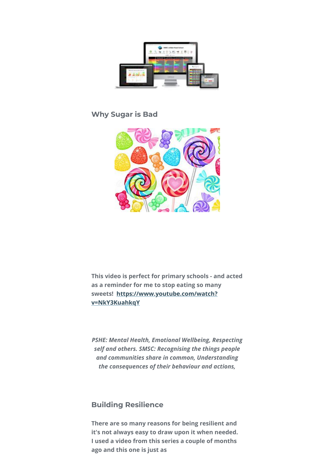

## **Why Sugar is Bad**



**This video is perfect for primary schools - and acted as a reminder for me to stop eating so many [sweets! https://www.youtube.com/watch?](https://smscgridmaker.createsend1.com/t/j-l-ftthjtl-l-t/) v=NkY3KuahkqY**

*PSHE: Mental Health, Emotional Wellbeing, Respecting self and others. SMSC: Recognising the things people and communities share in common, Understanding the consequences of their behaviour and actions,*

### **Building Resilience**

**There are so many reasons for being resilient and it's not always easy to draw upon it when needed. I used a video from this series a couple of months ago and this one is just as**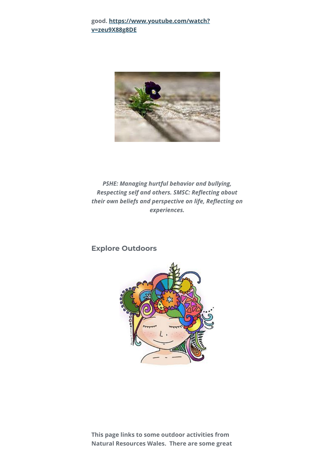#### **[good. https://www.youtube.com/watch?](https://smscgridmaker.createsend1.com/t/j-l-ftthjtl-l-i/) v=zeu9X88g8DE**



*PSHE: Managing hurtful behavior and bullying, Respecting self and others. SMSC: Reflecting about their own beliefs and perspective on life, Reflecting on experiences.*

### **Explore Outdoors**



**This page links to some outdoor activities from Natural Resources Wales. There are some great**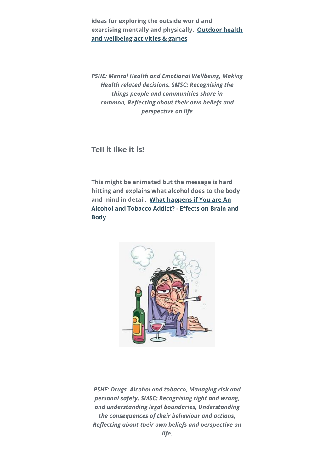**ideas for exploring the outside world and [exercising mentally and physically. Outdoor health](https://smscgridmaker.createsend1.com/t/j-l-ftthjtl-l-d/) and wellbeing activities & games**

*PSHE: Mental Health and Emotional Wellbeing, Making Health related decisions. SMSC: Recognising the things people and communities share in common, Reflecting about their own beliefs and perspective on life*

**Tell it like it is!**

**This might be animated but the message is hard hitting and explains what alcohol does to the body and mind in detail. What happens if You are An [Alcohol and Tobacco Addict? - Effects on Brain and](https://smscgridmaker.createsend1.com/t/j-l-ftthjtl-l-h/) Body**



*PSHE: Drugs, Alcohol and tobacco, Managing risk and personal safety. SMSC: Recognising right and wrong, and understanding legal boundaries, Understanding the consequences of their behaviour and actions, Reflecting about their own beliefs and perspective on life.*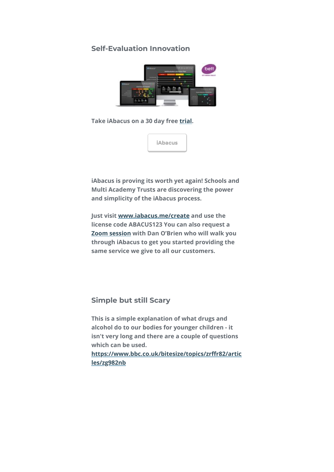## **Self-Evaluation Innovation**



**Take iAbacus on a 30 day free [trial](https://smscgridmaker.createsend1.com/t/j-l-ftthjtl-l-k/).** 



**iAbacus is proving its worth yet again! Schools and Multi Academy Trusts are discovering the power and simplicity of the iAbacus process.**

**Just visit [www.iabacus.me/create](https://smscgridmaker.createsend1.com/t/j-l-ftthjtl-l-o/) and use the license code ABACUS123 You can also request a [Zoom session](https://smscgridmaker.createsend1.com/t/j-l-ftthjtl-l-b/) with Dan O'Brien who will walk you through iAbacus to get you started providing the same service we give to all our customers.**

**Simple but still Scary**

**This is a simple explanation of what drugs and alcohol do to our bodies for younger children - it isn't very long and there are a couple of questions which can be used.** 

**[https://www.bbc.co.uk/bitesize/topics/zrffr82/artic](https://smscgridmaker.createsend1.com/t/j-l-ftthjtl-l-n/) les/zg982nb**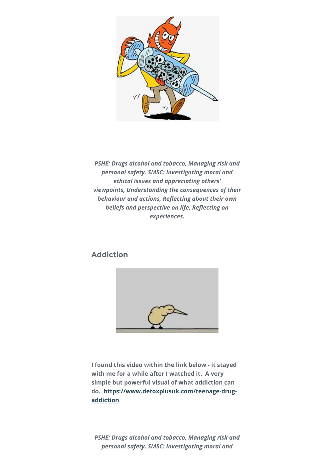

*PSHE: Drugs alcohol and tobacco, Managing risk and personal safety. SMSC: Investigating moral and ethical issues and appreciating others' viewpoints, Understanding the consequences of their behaviour and actions, Reflecting about their own beliefs and perspective on life, Reflecting on experiences.*

# **Addiction**



**I found this video within the link below - it stayed with me for a while after I watched it. A very simple but powerful visual of what addiction can [do. https://www.detoxplusuk.com/teenage-drug](https://smscgridmaker.createsend1.com/t/j-l-ftthjtl-l-p/)addiction**

*PSHE: Drugs alcohol and tobacco, Managing risk and personal safety. SMSC: Investigating moral and*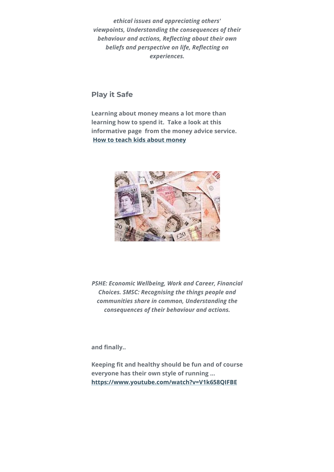*ethical issues and appreciating others' viewpoints, Understanding the consequences of their behaviour and actions, Reflecting about their own beliefs and perspective on life, Reflecting on experiences.*

**Play it Safe**

**Learning about money means a lot more than learning how to spend it. Take a look at this informative page from the money advice service. [How to teach kids about money](https://smscgridmaker.createsend1.com/t/j-l-ftthjtl-l-x/)**



*PSHE: Economic Wellbeing, Work and Career, Financial Choices. SMSC: Recognising the things people and communities share in common, Understanding the consequences of their behaviour and actions.*

**and finally..**

**Keeping fit and healthy should be fun and of course everyone has their own style of running ... [https://www.youtube.com/watch?v=V1k658QIFBE](https://smscgridmaker.createsend1.com/t/j-l-ftthjtl-l-m/)**